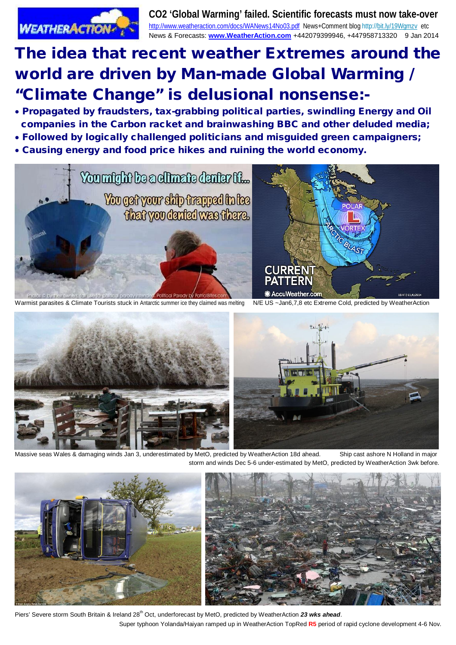

#### **CO2 'Global Warming' failed. Scientific forecasts must now take-over**

http://www.weatheraction.com/docs/WANews14No03.pdf News+Comment blog http://bit.ly/19Wgmzv etc News & Forecasts: **www.WeatherAction.com** +442079399946, +447958713320 9 Jan 2014

# **The idea that recent weather Extremes around the world are driven by Man-made Global Warming / "Climate Change" is delusional nonsense:-**

- **Propagated by fraudsters, tax-grabbing political parties, swindling Energy and Oil companies in the Carbon racket and brainwashing BBC and other deluded media;**
- **Followed by logically challenged politicians and misguided green campaigners;**
- **Causing energy and food price hikes and ruining the world economy.**



Warmist parasites & Climate Tourists stuck in Antarctic summer ice they claimed was melting N/E US ~Jan6,7,8 etc Extreme Cold, predicted by WeatherAction



Massive seas Wales & damaging winds Jan 3, underestimated by MetO, predicted by WeatherAction 18d ahead. Ship cast ashore N Holland in major storm and winds Dec 5-6 under-estimated by MetO, predicted by WeatherAction 3wk before.



Piers' Severe storm South Britain & Ireland 28<sup>th</sup> Oct, underforecast by MetO, predicted by WeatherAction 23 wks ahead. Super typhoon Yolanda/Haiyan ramped up in WeatherAction TopRed **R5** period of rapid cyclone development 4-6 Nov.